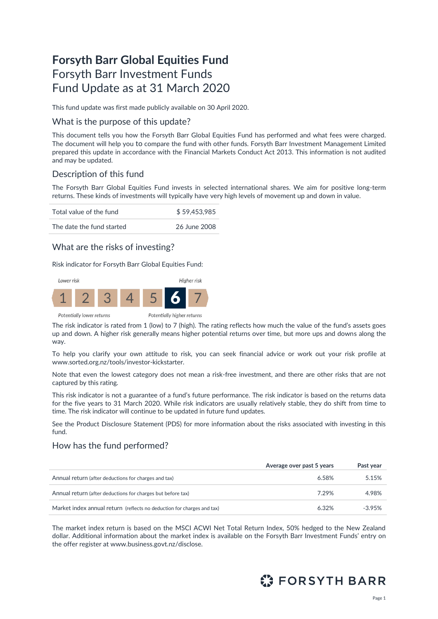# **Forsyth Barr Global Equities Fund** Forsyth Barr Investment Funds Fund Update as at 31 March 2020

This fund update was first made publicly available on 30 April 2020.

## What is the purpose of this update?

This document tells you how the Forsyth Barr Global Equities Fund has performed and what fees were charged. The document will help you to compare the fund with other funds. Forsyth Barr Investment Management Limited prepared this update in accordance with the Financial Markets Conduct Act 2013. This information is not audited and may be updated.

# Description of this fund

The Forsyth Barr Global Equities Fund invests in selected international shares. We aim for positive long-term returns. These kinds of investments will typically have very high levels of movement up and down in value.

| Total value of the fund   | \$59,453,985 |
|---------------------------|--------------|
| The date the fund started | 26 June 2008 |

## What are the risks of investing?

Risk indicator for Forsyth Barr Global Equities Fund:



The risk indicator is rated from 1 (low) to 7 (high). The rating reflects how much the value of the fund's assets goes up and down. A higher risk generally means higher potential returns over time, but more ups and downs along the way.

To help you clarify your own attitude to risk, you can seek financial advice or work out your risk profile at [www.sorted.org.nz/tools/investor-kickstarter.](http://www.sorted.org.nz/tools/investor-kickstarter)

Note that even the lowest category does not mean a risk-free investment, and there are other risks that are not captured by this rating.

This risk indicator is not a guarantee of a fund's future performance. The risk indicator is based on the returns data for the five years to 31 March 2020. While risk indicators are usually relatively stable, they do shift from time to time. The risk indicator will continue to be updated in future fund updates.

See the Product Disclosure Statement (PDS) for more information about the risks associated with investing in this fund.

## How has the fund performed?

|                                                                        | Average over past 5 years | Past year |
|------------------------------------------------------------------------|---------------------------|-----------|
| Annual return (after deductions for charges and tax)                   | 6.58%                     | 5.15%     |
| Annual return (after deductions for charges but before tax)            | 7.29%                     | 4.98%     |
| Market index annual return (reflects no deduction for charges and tax) | 6.32%                     | $-3.95%$  |

The market index return is based on the MSCI ACWI Net Total Return Index, 50% hedged to the New Zealand dollar. Additional information about the market index is available on the Forsyth Barr Investment Funds' entry on the offer register at [www.business.govt.nz/disclose](http://www.business.govt.nz/disclose)*.*

# **C** FORSYTH BARR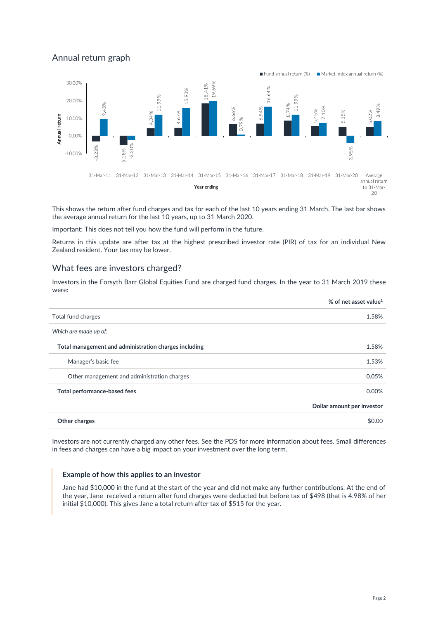# Annual return graph



This shows the return after fund charges and tax for each of the last 10 years ending 31 March. The last bar shows the average annual return for the last 10 years, up to 31 March 2020.

Important: This does not tell you how the fund will perform in the future.

Returns in this update are after tax at the highest prescribed investor rate (PIR) of tax for an individual New Zealand resident. Your tax may be lower.

## What fees are investors charged?

Investors in the Forsyth Barr Global Equities Fund are charged fund charges. In the year to 31 March 2019 these were:

|                                                       | % of net asset value <sup>1</sup> |
|-------------------------------------------------------|-----------------------------------|
| Total fund charges                                    | 1.58%                             |
| Which are made up of:                                 |                                   |
| Total management and administration charges including | 1.58%                             |
| Manager's basic fee                                   | 1.53%                             |
| Other management and administration charges           | 0.05%                             |
| Total performance-based fees                          | 0.00%                             |
|                                                       | Dollar amount per investor        |
| Other charges                                         | \$0.00                            |

Investors are not currently charged any other fees. See the PDS for more information about fees. Small differences in fees and charges can have a big impact on your investment over the long term.

#### **Example of how this applies to an investor**

Jane had \$10,000 in the fund at the start of the year and did not make any further contributions. At the end of the year, Jane received a return after fund charges were deducted but before tax of \$498 (that is 4.98% of her initial \$10,000). This gives Jane a total return after tax of \$515 for the year.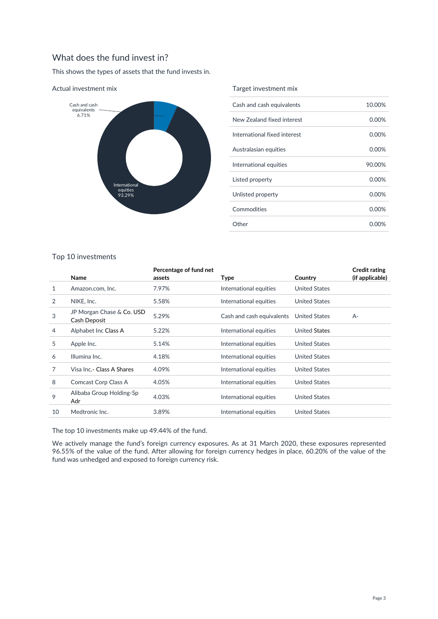## What does the fund invest in?

This shows the types of assets that the fund invests in.



#### Actual investment mix

#### Target investment mix

| Cash and cash equivalents    | 10.00%   |
|------------------------------|----------|
| New Zealand fixed interest   | $0.00\%$ |
| International fixed interest | $0.00\%$ |
| Australasian equities        | 0.00%    |
| International equities       | 90.00%   |
| Listed property              | 0.00%    |
| Unlisted property            | 0.00%    |
| Commodities                  | $0.00\%$ |
| Other                        | 0.00%    |
|                              |          |

### Top 10 investments

|    |                                           | Percentage of fund net |                           |                      | <b>Credit rating</b> |
|----|-------------------------------------------|------------------------|---------------------------|----------------------|----------------------|
|    | <b>Name</b>                               | assets                 | Type                      | Country              | (if applicable)      |
| 1  | Amazon.com, Inc.                          | 7.97%                  | International equities    | <b>United States</b> |                      |
| 2  | NIKE, Inc.                                | 5.58%                  | International equities    | <b>United States</b> |                      |
| 3  | JP Morgan Chase & Co. USD<br>Cash Deposit | 5.29%                  | Cash and cash equivalents | <b>United States</b> | $A-$                 |
| 4  | Alphabet Inc Class A                      | 5.22%                  | International equities    | <b>United States</b> |                      |
| 5  | Apple Inc.                                | 5.14%                  | International equities    | <b>United States</b> |                      |
| 6  | Illumina Inc.                             | 4.18%                  | International equities    | <b>United States</b> |                      |
| 7  | Visa Inc.- Class A Shares                 | 4.09%                  | International equities    | <b>United States</b> |                      |
| 8  | Comcast Corp Class A                      | 4.05%                  | International equities    | <b>United States</b> |                      |
| 9  | Alibaba Group Holding-Sp<br>Adr           | 4.03%                  | International equities    | <b>United States</b> |                      |
| 10 | Medtronic Inc.                            | 3.89%                  | International equities    | <b>United States</b> |                      |

The top 10 investments make up 49.44% of the fund.

We actively manage the fund's foreign currency exposures. As at 31 March 2020, these exposures represented 96.55% of the value of the fund. After allowing for foreign currency hedges in place, 60.20% of the value of the fund was unhedged and exposed to foreign currency risk.